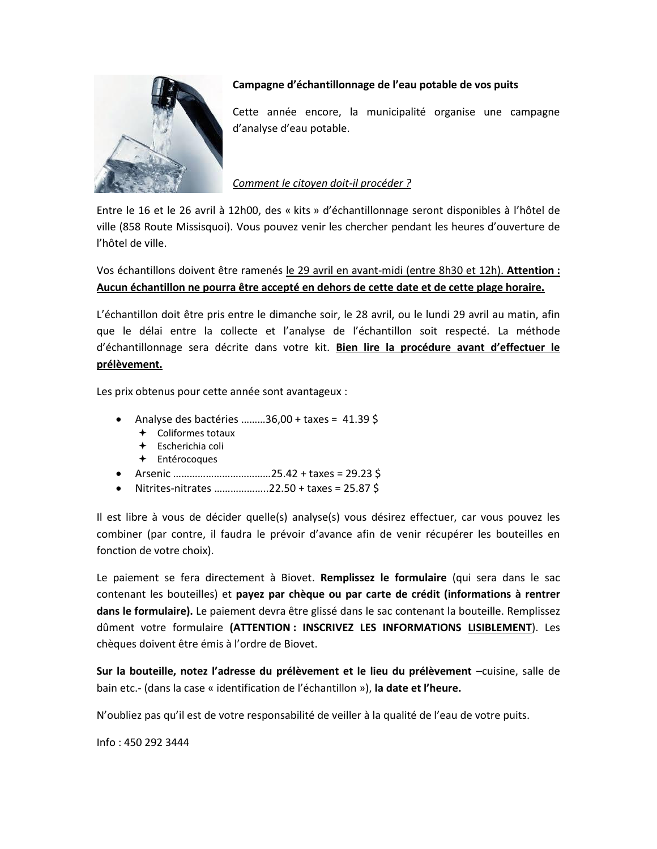

## **Campagne d'échantillonnage de l'eau potable de vos puits**

Cette année encore, la municipalité organise une campagne d'analyse d'eau potable.

## *Comment le citoyen doit-il procéder ?*

Entre le 16 et le 26 avril à 12h00, des « kits » d'échantillonnage seront disponibles à l'hôtel de ville (858 Route Missisquoi). Vous pouvez venir les chercher pendant les heures d'ouverture de l'hôtel de ville.

Vos échantillons doivent être ramenés le 29 avril en avant-midi (entre 8h30 et 12h). **Attention : Aucun échantillon ne pourra être accepté en dehors de cette date et de cette plage horaire.** 

L'échantillon doit être pris entre le dimanche soir, le 28 avril, ou le lundi 29 avril au matin, afin que le délai entre la collecte et l'analyse de l'échantillon soit respecté. La méthode d'échantillonnage sera décrite dans votre kit. **Bien lire la procédure avant d'effectuer le prélèvement.**

Les prix obtenus pour cette année sont avantageux :

- Analyse des bactéries .........36,00 + taxes =  $41.39\text{ }\text{\textless}\textsf{S}$ 
	- Coliformes totaux
	- Escherichia coli
	- Entérocoques
- Arsenic ………………………………25.42 + taxes = 29.23 \$
- Nitrites-nitrates ………………..22.50 + taxes = 25.87 \$

Il est libre à vous de décider quelle(s) analyse(s) vous désirez effectuer, car vous pouvez les combiner (par contre, il faudra le prévoir d'avance afin de venir récupérer les bouteilles en fonction de votre choix).

Le paiement se fera directement à Biovet. **Remplissez le formulaire** (qui sera dans le sac contenant les bouteilles) et **payez par chèque ou par carte de crédit (informations à rentrer dans le formulaire).** Le paiement devra être glissé dans le sac contenant la bouteille. Remplissez dûment votre formulaire **(ATTENTION : INSCRIVEZ LES INFORMATIONS LISIBLEMENT**). Les chèques doivent être émis à l'ordre de Biovet.

**Sur la bouteille, notez l'adresse du prélèvement et le lieu du prélèvement** –cuisine, salle de bain etc.- (dans la case « identification de l'échantillon »), **la date et l'heure.**

N'oubliez pas qu'il est de votre responsabilité de veiller à la qualité de l'eau de votre puits.

Info : 450 292 3444